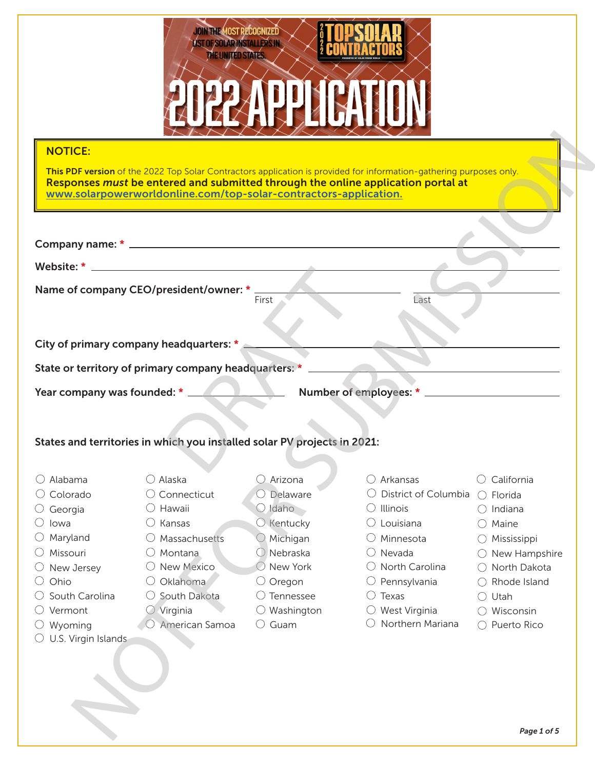

| <b>NOTICE:</b>                |                                                                                                                                                      |                       |                                                                                                                     |                          |
|-------------------------------|------------------------------------------------------------------------------------------------------------------------------------------------------|-----------------------|---------------------------------------------------------------------------------------------------------------------|--------------------------|
|                               |                                                                                                                                                      |                       |                                                                                                                     |                          |
|                               |                                                                                                                                                      |                       | This PDF version of the 2022 Top Solar Contractors application is provided for information-gathering purposes only. |                          |
|                               | Responses must be entered and submitted through the online application portal at<br>www.solarpowerworldonline.com/top-solar-contractors-application. |                       |                                                                                                                     |                          |
|                               |                                                                                                                                                      |                       |                                                                                                                     |                          |
|                               |                                                                                                                                                      |                       |                                                                                                                     |                          |
|                               |                                                                                                                                                      |                       |                                                                                                                     |                          |
|                               |                                                                                                                                                      |                       |                                                                                                                     |                          |
|                               |                                                                                                                                                      |                       |                                                                                                                     |                          |
|                               | Name of company CEO/president/owner: *                                                                                                               | First                 | Last                                                                                                                |                          |
|                               |                                                                                                                                                      |                       |                                                                                                                     |                          |
|                               |                                                                                                                                                      |                       |                                                                                                                     |                          |
|                               | City of primary company headquarters: *                                                                                                              |                       |                                                                                                                     |                          |
|                               | State or territory of primary company headquarters: *                                                                                                |                       |                                                                                                                     |                          |
| Year company was founded: * _ |                                                                                                                                                      |                       |                                                                                                                     |                          |
|                               |                                                                                                                                                      |                       |                                                                                                                     |                          |
|                               |                                                                                                                                                      |                       |                                                                                                                     |                          |
|                               | States and territories in which you installed solar PV projects in 2021:                                                                             |                       |                                                                                                                     |                          |
|                               |                                                                                                                                                      |                       |                                                                                                                     |                          |
| Alabama                       | $\bigcirc$ Alaska                                                                                                                                    | $\bigcirc$ Arizona    | $\bigcirc$ Arkansas                                                                                                 | California               |
| $\circlearrowright$ Colorado  | $\bigcirc$ Connecticut                                                                                                                               | $\bigcirc$ Delaware   | $\bigcirc$ District of Columbia $\bigcirc$ Florida                                                                  |                          |
| $\bigcirc$ Georgia            | $\bigcirc$ Hawaii                                                                                                                                    | $\bigcirc$ Idaho      | $\bigcirc$ Illinois                                                                                                 | $\bigcirc$ Indiana       |
| lowa                          | $\bigcirc$ Kansas                                                                                                                                    | $\bigcirc$ Kentucky   | $\bigcirc$ Louisiana                                                                                                | $\bigcirc$ Maine         |
| $\bigcirc$ Maryland           | Massachusetts                                                                                                                                        | $\bigcirc$ Michigan   | $\bigcirc$ Minnesota                                                                                                | ○ Mississippi            |
| Missouri                      | $\bigcirc$ Montana                                                                                                                                   | $O$ Nebraska          | $\bigcirc$ Nevada                                                                                                   | $\bigcirc$ New Hampshire |
| $\bigcirc$ New Jersey         | O New Mexico                                                                                                                                         | $\bigcirc$ New York   | $\bigcirc$ North Carolina                                                                                           | $\bigcirc$ North Dakota  |
| Ohio                          | Oklahoma                                                                                                                                             | $\bigcirc$ Oregon     | $\bigcirc$ Pennsylvania                                                                                             | Rhode Island             |
| South Carolina                | South Dakota                                                                                                                                         | $\bigcirc$ Tennessee  | $\bigcirc$ Texas                                                                                                    | Utah                     |
| Vermont                       | $\bigcirc$ Virginia                                                                                                                                  | $\bigcirc$ Washington | $\bigcirc$ West Virginia                                                                                            | Wisconsin                |
| Wyoming                       | American Samoa                                                                                                                                       | $\bigcirc$ Guam       | Northern Mariana                                                                                                    | Puerto Rico              |
| U.S. Virgin Islands           |                                                                                                                                                      |                       |                                                                                                                     |                          |
|                               |                                                                                                                                                      |                       |                                                                                                                     |                          |
|                               |                                                                                                                                                      |                       |                                                                                                                     |                          |
|                               |                                                                                                                                                      |                       |                                                                                                                     |                          |
|                               |                                                                                                                                                      |                       |                                                                                                                     |                          |
|                               |                                                                                                                                                      |                       |                                                                                                                     |                          |
|                               |                                                                                                                                                      |                       |                                                                                                                     |                          |
|                               |                                                                                                                                                      |                       |                                                                                                                     | Page 1 of 5              |

- $\bigcirc$  Alabama
- Colorado
- $\bigcirc$  Georgia
- $\bigcirc$  lowa
- $\bigcirc$  Maryland
- Missouri
- $\bigcirc$  New Jersey
- $\bigcirc$  Ohio
- $\bigcirc$  South Carolina
- Vermont
- $\bigcirc$  Wyoming
- $\circlearrowright$  U.S. Virgin Islands

- O Delaware
	- $O$  Idaho
	- $\bigcirc$  Kentucky

- Michigan
- $\bigcirc$  Nebraska
	- O New York
- $\bigcirc$  Arkansas
- District of Columbia  $\bigcirc$  Florida
- $\bigcirc$  Illinois
- $\bigcirc$  Louisiana
- Minnesota
- Nevada
- $\bigcirc$  North Carolina
- $\bigcirc$  Pennsylvania
- $\bigcirc$  Texas
- West Virginia
- 
- $\bigcirc$  California
- 
- $\bigcirc$  Indiana
- $\bigcirc$  Maine
- Mississippi
- $\bigcirc$  New Hampshire
- O North Dakota
- ◯ Rhode Island
- $\bigcirc$  Utah
- Wisconsin
- O Puerto Rico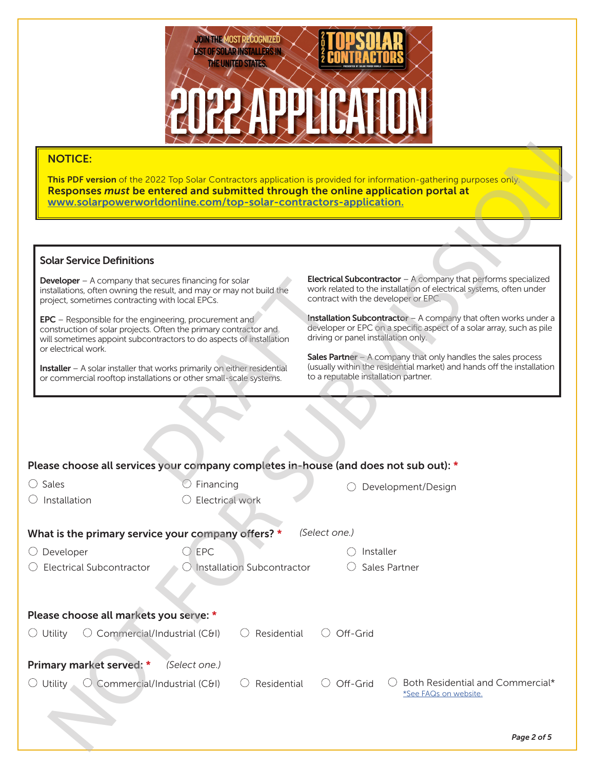

#### Solar Service Definitions

|                                                                                                                                               | www.solarpowerworldonline.com/top-solar-contractors-application.                                                                        | This PDF version of the 2022 Top Solar Contractors application is provided for information-gathering purposes only.<br>Responses must be entered and submitted through the online application portal at |  |  |
|-----------------------------------------------------------------------------------------------------------------------------------------------|-----------------------------------------------------------------------------------------------------------------------------------------|---------------------------------------------------------------------------------------------------------------------------------------------------------------------------------------------------------|--|--|
|                                                                                                                                               |                                                                                                                                         |                                                                                                                                                                                                         |  |  |
| <b>Solar Service Definitions</b>                                                                                                              |                                                                                                                                         |                                                                                                                                                                                                         |  |  |
| <b>Developer</b> $-$ A company that secures financing for solar<br>project, sometimes contracting with local EPCs.                            | installations, often owning the result, and may or may not build the                                                                    | <b>Electrical Subcontractor</b> $-$ A company that performs specialized<br>work related to the installation of electrical systems, often under<br>contract with the developer or EPC.                   |  |  |
| <b>EPC</b> – Responsible for the engineering, procurement and<br>or electrical work.                                                          | construction of solar projects. Often the primary contractor and<br>will sometimes appoint subcontractors to do aspects of installation | Installation Subcontractor - A company that often works under a<br>developer or EPC on a specific aspect of a solar array, such as pile<br>driving or panel installation only.                          |  |  |
| Installer - A solar installer that works primarily on either residential<br>or commercial rooftop installations or other small-scale systems. |                                                                                                                                         | <b>Sales Partner</b> $-$ A company that only handles the sales process<br>(usually within the residential market) and hands off the installation<br>to a reputable installation partner.                |  |  |
|                                                                                                                                               |                                                                                                                                         |                                                                                                                                                                                                         |  |  |
|                                                                                                                                               |                                                                                                                                         |                                                                                                                                                                                                         |  |  |
|                                                                                                                                               |                                                                                                                                         | Please choose all services your company completes in-house (and does not sub out): *                                                                                                                    |  |  |
| Sales<br>( )                                                                                                                                  | Financing                                                                                                                               | Development/Design                                                                                                                                                                                      |  |  |
| Installation                                                                                                                                  | Electrical work                                                                                                                         |                                                                                                                                                                                                         |  |  |
|                                                                                                                                               |                                                                                                                                         |                                                                                                                                                                                                         |  |  |
|                                                                                                                                               | What is the primary service your company offers? *                                                                                      | (Select one.)                                                                                                                                                                                           |  |  |
| Developer                                                                                                                                     | EPC                                                                                                                                     | Installer                                                                                                                                                                                               |  |  |
| <b>Electrical Subcontractor</b>                                                                                                               | $\bigcirc$ Installation Subcontractor                                                                                                   | Sales Partner                                                                                                                                                                                           |  |  |
|                                                                                                                                               |                                                                                                                                         |                                                                                                                                                                                                         |  |  |
|                                                                                                                                               |                                                                                                                                         |                                                                                                                                                                                                         |  |  |
| $\circlearrowright$ Commercial/Industrial (C&I)<br>$\bigcirc$ Utility                                                                         | Residential                                                                                                                             | Off-Grid<br>$\left( \quad \right)$                                                                                                                                                                      |  |  |
|                                                                                                                                               | (Select one.)                                                                                                                           |                                                                                                                                                                                                         |  |  |
| Please choose all markets you serve: *<br>Primary market served: *<br>$\circlearrowright$ Utility<br>$\bigcirc$ Commercial/Industrial (C&I)   | Residential                                                                                                                             | $\bigcirc$ Off-Grid<br>Both Residential and Commercial*<br>*See FAQs on website.                                                                                                                        |  |  |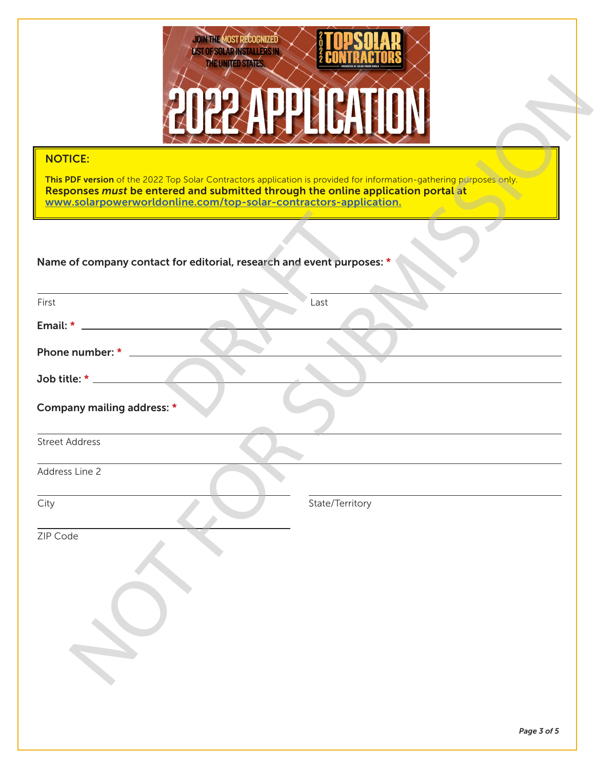

| <b>NOTICE:</b>                                                                                                                                                                                                                                                              |  |  |  |  |  |
|-----------------------------------------------------------------------------------------------------------------------------------------------------------------------------------------------------------------------------------------------------------------------------|--|--|--|--|--|
| This PDF version of the 2022 Top Solar Contractors application is provided for information-gathering purposes only.<br>Responses must be entered and submitted through the online application portal at<br>www.solarpowerworldonline.com/top-solar-contractors-application. |  |  |  |  |  |
|                                                                                                                                                                                                                                                                             |  |  |  |  |  |
| Name of company contact for editorial, research and event purposes: *                                                                                                                                                                                                       |  |  |  |  |  |
| First<br>Last                                                                                                                                                                                                                                                               |  |  |  |  |  |
|                                                                                                                                                                                                                                                                             |  |  |  |  |  |
| Phone number: * ______                                                                                                                                                                                                                                                      |  |  |  |  |  |
|                                                                                                                                                                                                                                                                             |  |  |  |  |  |
| Company mailing address: *                                                                                                                                                                                                                                                  |  |  |  |  |  |
| <b>Street Address</b>                                                                                                                                                                                                                                                       |  |  |  |  |  |
| Address Line 2                                                                                                                                                                                                                                                              |  |  |  |  |  |
| City<br>State/Territory                                                                                                                                                                                                                                                     |  |  |  |  |  |
| ZIP Code                                                                                                                                                                                                                                                                    |  |  |  |  |  |
|                                                                                                                                                                                                                                                                             |  |  |  |  |  |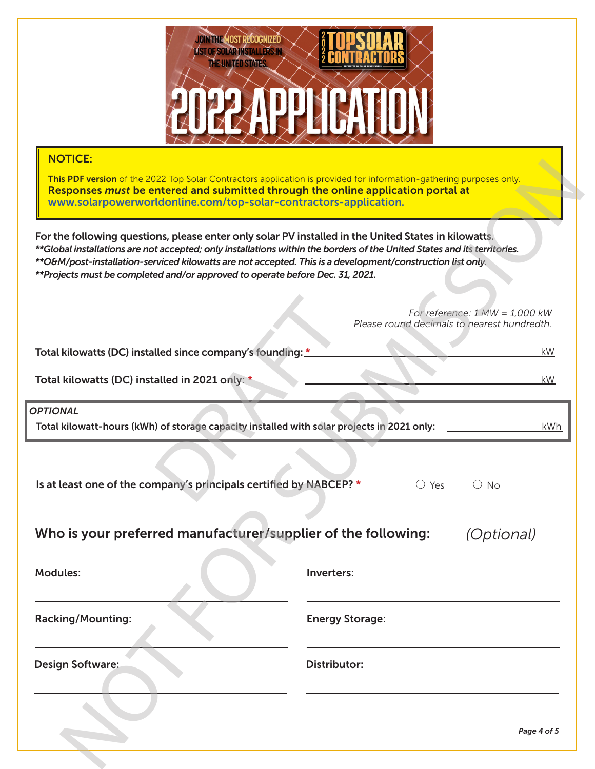

| <u>INUTIUE.</u><br>This PDF version of the 2022 Top Solar Contractors application is provided for information-gathering purposes only.<br>Responses must be entered and submitted through the online application portal at<br>www.solarpowerworldonline.com/top-solar-contractors-application.                                                                                                                                  |                                                                                 |  |  |  |
|---------------------------------------------------------------------------------------------------------------------------------------------------------------------------------------------------------------------------------------------------------------------------------------------------------------------------------------------------------------------------------------------------------------------------------|---------------------------------------------------------------------------------|--|--|--|
| For the following questions, please enter only solar PV installed in the United States in kilowatts.<br>**Global installations are not accepted; only installations within the borders of the United States and its territories.<br>**O&M/post-installation-serviced kilowatts are not accepted. This is a development/construction list only.<br>**Projects must be completed and/or approved to operate before Dec. 31, 2021. |                                                                                 |  |  |  |
|                                                                                                                                                                                                                                                                                                                                                                                                                                 | For reference: $1 MW = 1,000 kW$<br>Please round decimals to nearest hundredth. |  |  |  |
| Total kilowatts (DC) installed since company's founding: *                                                                                                                                                                                                                                                                                                                                                                      | <b>kW</b>                                                                       |  |  |  |
| Total kilowatts (DC) installed in 2021 only: *<br>kW                                                                                                                                                                                                                                                                                                                                                                            |                                                                                 |  |  |  |
| <b>OPTIONAL</b><br>Total kilowatt-hours (kWh) of storage capacity installed with solar projects in 2021 only:                                                                                                                                                                                                                                                                                                                   | kWh                                                                             |  |  |  |
| Is at least one of the company's principals certified by NABCEP? *                                                                                                                                                                                                                                                                                                                                                              | $\bigcirc$ Yes<br>$\bigcirc$ No                                                 |  |  |  |
| Who is your preferred manufacturer/supplier of the following:                                                                                                                                                                                                                                                                                                                                                                   | <i>(Optional)</i>                                                               |  |  |  |
| <b>Modules:</b>                                                                                                                                                                                                                                                                                                                                                                                                                 | Inverters:                                                                      |  |  |  |
| <b>Racking/Mounting:</b>                                                                                                                                                                                                                                                                                                                                                                                                        | <b>Energy Storage:</b>                                                          |  |  |  |
| <b>Design Software:</b>                                                                                                                                                                                                                                                                                                                                                                                                         | <b>Distributor:</b>                                                             |  |  |  |
|                                                                                                                                                                                                                                                                                                                                                                                                                                 | Page 4 of 5                                                                     |  |  |  |
|                                                                                                                                                                                                                                                                                                                                                                                                                                 |                                                                                 |  |  |  |